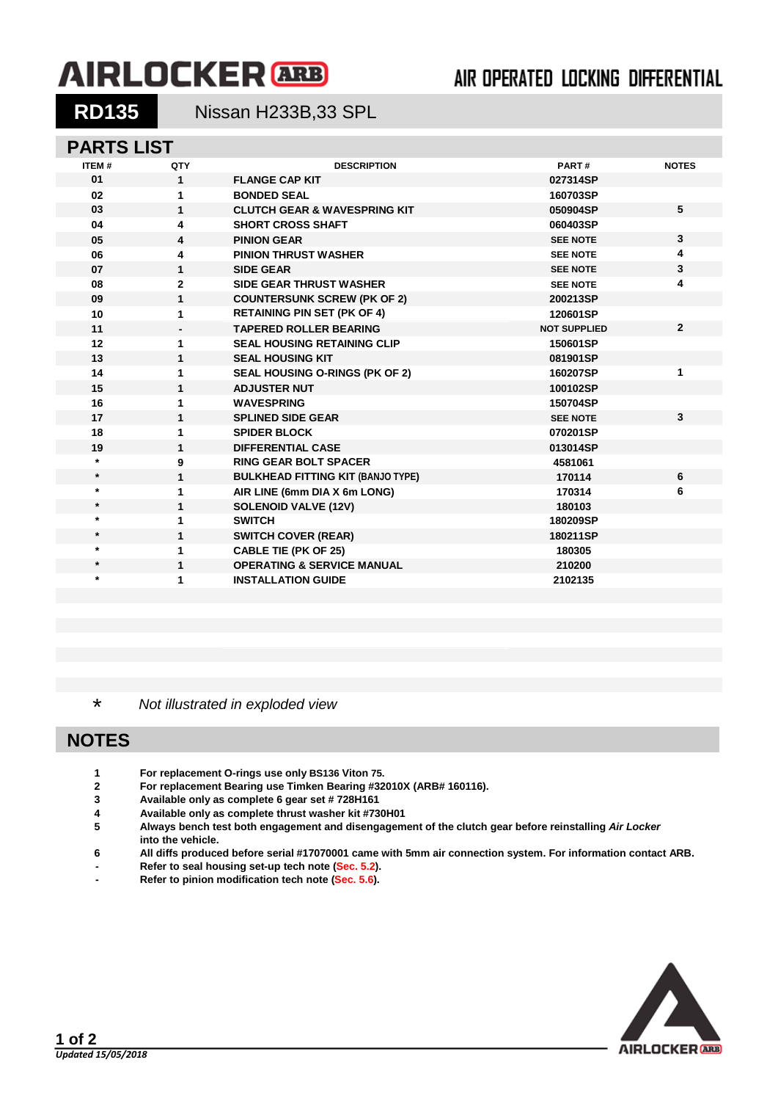# **AIRLOCKER** ARB

## AIR OPERATED LOCKING DIFFERENTIAL

**RD135** Nissan H233B,33 SPL

### **PARTS LIST**

| <b>ITEM#</b> | QTY          | <b>DESCRIPTION</b>                       | PART#               | <b>NOTES</b>   |
|--------------|--------------|------------------------------------------|---------------------|----------------|
| 01           | $\mathbf{1}$ | <b>FLANGE CAP KIT</b>                    | 027314SP            |                |
| 02           | $\mathbf{1}$ | <b>BONDED SEAL</b>                       | 160703SP            |                |
| 03           | $\mathbf{1}$ | <b>CLUTCH GEAR &amp; WAVESPRING KIT</b>  | 050904SP            | 5              |
| 04           | 4            | <b>SHORT CROSS SHAFT</b>                 | 060403SP            |                |
| 05           | 4            | <b>PINION GEAR</b>                       | <b>SEE NOTE</b>     | 3              |
| 06           | 4            | <b>PINION THRUST WASHER</b>              | <b>SEE NOTE</b>     | 4              |
| 07           | $\mathbf{1}$ | <b>SIDE GEAR</b>                         | <b>SEE NOTE</b>     | 3              |
| 08           | $\mathbf{2}$ | <b>SIDE GEAR THRUST WASHER</b>           | <b>SEE NOTE</b>     | 4              |
| 09           | $\mathbf{1}$ | <b>COUNTERSUNK SCREW (PK OF 2)</b>       | 200213SP            |                |
| 10           | 1            | <b>RETAINING PIN SET (PK OF 4)</b>       | 120601SP            |                |
| 11           |              | <b>TAPERED ROLLER BEARING</b>            | <b>NOT SUPPLIED</b> | $\overline{2}$ |
| 12           | $\mathbf{1}$ | <b>SEAL HOUSING RETAINING CLIP</b>       | 150601SP            |                |
| 13           | $\mathbf{1}$ | <b>SEAL HOUSING KIT</b>                  | 081901SP            |                |
| 14           | 1            | SEAL HOUSING O-RINGS (PK OF 2)           | 160207SP            | 1              |
| 15           | $\mathbf{1}$ | <b>ADJUSTER NUT</b>                      | 100102SP            |                |
| 16           | 1            | <b>WAVESPRING</b>                        | 150704SP            |                |
| 17           | $\mathbf{1}$ | <b>SPLINED SIDE GEAR</b>                 | <b>SEE NOTE</b>     | $\mathbf{3}$   |
| 18           | 1            | <b>SPIDER BLOCK</b>                      | 070201SP            |                |
| 19           | $\mathbf{1}$ | <b>DIFFERENTIAL CASE</b>                 | 013014SP            |                |
| $\star$      | 9            | <b>RING GEAR BOLT SPACER</b>             | 4581061             |                |
| $\star$      | $\mathbf{1}$ | <b>BULKHEAD FITTING KIT (BANJO TYPE)</b> | 170114              | 6              |
| $\star$      | 1            | AIR LINE (6mm DIA X 6m LONG)             | 170314              | 6              |
| $\star$      | $\mathbf{1}$ | <b>SOLENOID VALVE (12V)</b>              | 180103              |                |
| $\star$      | 1            | <b>SWITCH</b>                            | 180209SP            |                |
| $\star$      | 1            | <b>SWITCH COVER (REAR)</b>               | 180211SP            |                |
| $\star$      | 1            | <b>CABLE TIE (PK OF 25)</b>              | 180305              |                |
| $\star$      | $\mathbf{1}$ | <b>OPERATING &amp; SERVICE MANUAL</b>    | 210200              |                |
| $\star$      | 1            | <b>INSTALLATION GUIDE</b>                | 2102135             |                |
|              |              |                                          |                     |                |

\* *Not illustrated in exploded view*

#### **NOTES**

- **1 For replacement O-rings use only BS136 Viton 75.**
- **2 For replacement Bearing use Timken Bearing #32010X (ARB# 160116).**
- **3 Available only as complete 6 gear set # 728H161**
- **4 Available only as complete thrust washer kit #730H01**
- **5 Always bench test both engagement and disengagement of the clutch gear before reinstalling** *Air Locker* **into the vehicle.**
- **6 All diffs produced before serial #17070001 came with 5mm air connection system. For information contact ARB.**
- **- Refer to seal housing set-up tech note (Sec. 5.2).**
- **- Refer to pinion modification tech note (Sec. 5.6).**